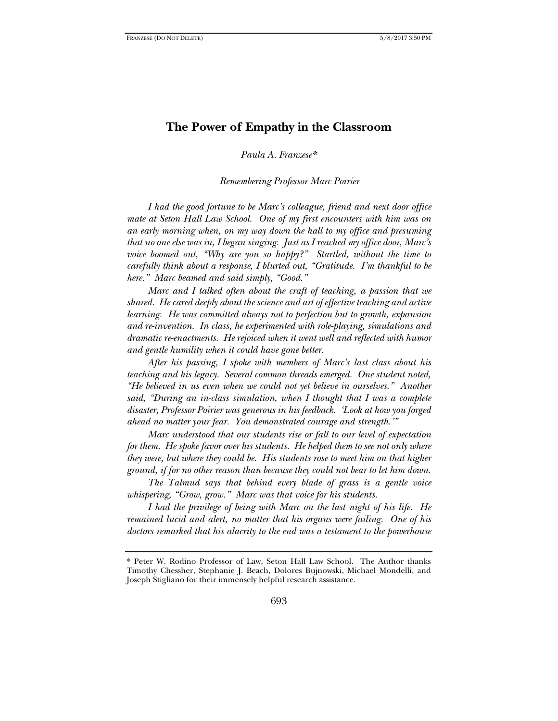## **The Power of Empathy in the Classroom**

*Paula A. Franzese\**

*Remembering Professor Marc Poirier*

*I had the good fortune to be Marc's colleague, friend and next door office mate at Seton Hall Law School. One of my first encounters with him was on an early morning when, on my way down the hall to my office and presuming that no one else was in, I began singing. Just as I reached my office door, Marc's voice boomed out, "Why are you so happy?" Startled, without the time to carefully think about a response, I blurted out, "Gratitude. I'm thankful to be here." Marc beamed and said simply, "Good."*

*Marc and I talked often about the craft of teaching, a passion that we shared. He cared deeply about the science and art of effective teaching and active learning. He was committed always not to perfection but to growth, expansion and re-invention. In class, he experimented with role-playing, simulations and dramatic re-enactments. He rejoiced when it went well and reflected with humor and gentle humility when it could have gone better.*

*After his passing, I spoke with members of Marc's last class about his teaching and his legacy. Several common threads emerged. One student noted, "He believed in us even when we could not yet believe in ourselves." Another said, "During an in-class simulation, when I thought that I was a complete disaster, Professor Poirier was generous in his feedback. 'Look at how you forged ahead no matter your fear. You demonstrated courage and strength.'"*

*Marc understood that our students rise or fall to our level of expectation for them. He spoke favor over his students. He helped them to see not only where they were, but where they could be. His students rose to meet him on that higher ground, if for no other reason than because they could not bear to let him down.*

*The Talmud says that behind every blade of grass is a gentle voice whispering, "Grow, grow." Marc was that voice for his students.*

*I had the privilege of being with Marc on the last night of his life. He remained lucid and alert, no matter that his organs were failing. One of his doctors remarked that his alacrity to the end was a testament to the powerhouse* 

<sup>\*</sup> Peter W. Rodino Professor of Law, Seton Hall Law School. The Author thanks Timothy Chessher, Stephanie J. Beach, Dolores Bujnowski, Michael Mondelli, and Joseph Stigliano for their immensely helpful research assistance.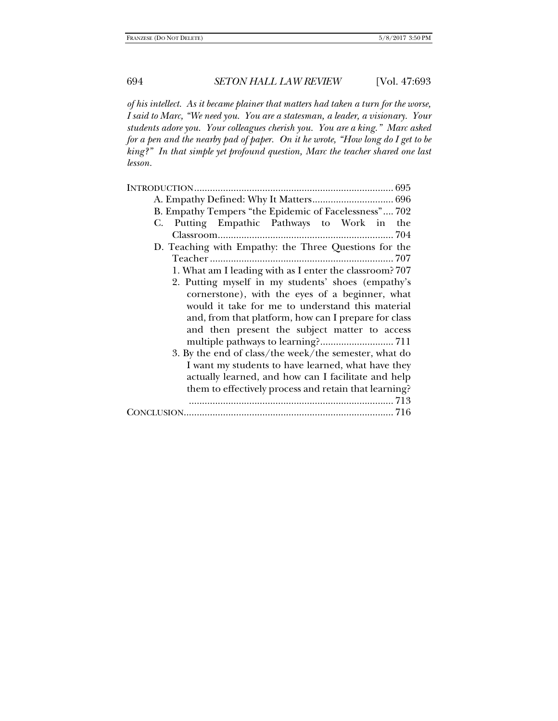*of his intellect. As it became plainer that matters had taken a turn for the worse, I said to Marc, "We need you. You are a statesman, a leader, a visionary. Your students adore you. Your colleagues cherish you. You are a king." Marc asked for a pen and the nearby pad of paper. On it he wrote, "How long do I get to be king?" In that simple yet profound question, Marc the teacher shared one last lesson.* 

| B. Empathy Tempers "the Epidemic of Facelessness" 702   |
|---------------------------------------------------------|
| Putting Empathic Pathways to Work in<br>the<br>C.       |
|                                                         |
| D. Teaching with Empathy: the Three Questions for the   |
|                                                         |
| 1. What am I leading with as I enter the classroom? 707 |
| 2. Putting myself in my students' shoes (empathy's      |
| cornerstone), with the eyes of a beginner, what         |
| would it take for me to understand this material        |
| and, from that platform, how can I prepare for class    |
| and then present the subject matter to access           |
|                                                         |
| 3. By the end of class/the week/the semester, what do   |
| I want my students to have learned, what have they      |
| actually learned, and how can I facilitate and help     |
| them to effectively process and retain that learning?   |
|                                                         |
|                                                         |
|                                                         |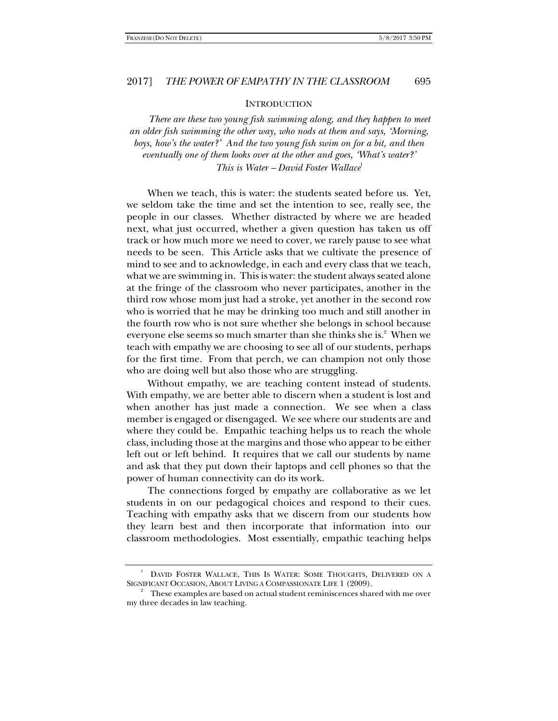**INTRODUCTION** 

*There are these two young fish swimming along, and they happen to meet an older fish swimming the other way, who nods at them and says, 'Morning, boys, how's the water?' And the two young fish swim on for a bit, and then eventually one of them looks over at the other and goes, 'What's water?' This is Water – David Foster Wallace*<sup>1</sup>

When we teach, this is water: the students seated before us. Yet, we seldom take the time and set the intention to see, really see, the people in our classes. Whether distracted by where we are headed next, what just occurred, whether a given question has taken us off track or how much more we need to cover, we rarely pause to see what needs to be seen. This Article asks that we cultivate the presence of mind to see and to acknowledge, in each and every class that we teach, what we are swimming in. This is water: the student always seated alone at the fringe of the classroom who never participates, another in the third row whose mom just had a stroke, yet another in the second row who is worried that he may be drinking too much and still another in the fourth row who is not sure whether she belongs in school because everyone else seems so much smarter than she thinks she is.<sup>2</sup> When we teach with empathy we are choosing to see all of our students, perhaps for the first time. From that perch, we can champion not only those who are doing well but also those who are struggling.

Without empathy, we are teaching content instead of students. With empathy, we are better able to discern when a student is lost and when another has just made a connection. We see when a class member is engaged or disengaged. We see where our students are and where they could be. Empathic teaching helps us to reach the whole class, including those at the margins and those who appear to be either left out or left behind. It requires that we call our students by name and ask that they put down their laptops and cell phones so that the power of human connectivity can do its work.

The connections forged by empathy are collaborative as we let students in on our pedagogical choices and respond to their cues. Teaching with empathy asks that we discern from our students how they learn best and then incorporate that information into our classroom methodologies. Most essentially, empathic teaching helps

<sup>1</sup> DAVID FOSTER WALLACE, THIS IS WATER: SOME THOUGHTS, DELIVERED ON A SIGNIFICANT OCCASION, ABOUT LIVING A COMPASSIONATE LIFE 1 (2009).

These examples are based on actual student reminiscences shared with me over my three decades in law teaching.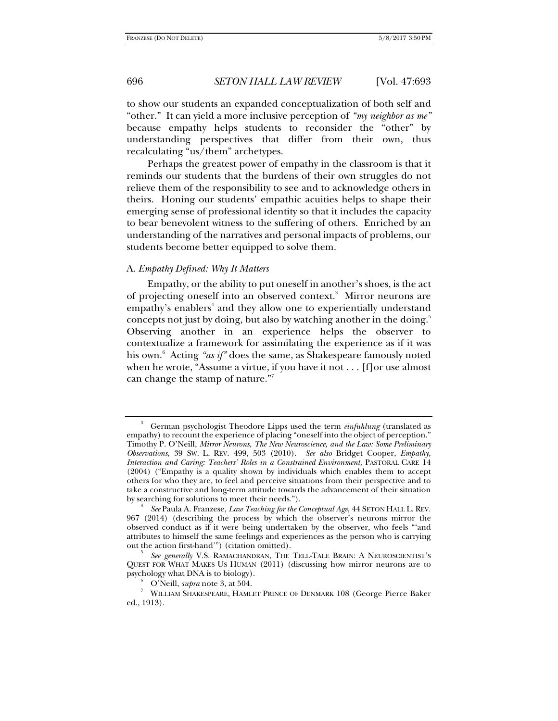to show our students an expanded conceptualization of both self and "other." It can yield a more inclusive perception of *"my neighbor as me"* because empathy helps students to reconsider the "other" by understanding perspectives that differ from their own, thus recalculating "us/them" archetypes.

Perhaps the greatest power of empathy in the classroom is that it reminds our students that the burdens of their own struggles do not relieve them of the responsibility to see and to acknowledge others in theirs. Honing our students' empathic acuities helps to shape their emerging sense of professional identity so that it includes the capacity to bear benevolent witness to the suffering of others. Enriched by an understanding of the narratives and personal impacts of problems, our students become better equipped to solve them.

#### A. *Empathy Defined: Why It Matters*

Empathy, or the ability to put oneself in another's shoes, is the act of projecting oneself into an observed context.<sup>3</sup> Mirror neurons are empathy's enablers<sup>4</sup> and they allow one to experientially understand concepts not just by doing, but also by watching another in the doing.<sup>5</sup> Observing another in an experience helps the observer to contextualize a framework for assimilating the experience as if it was his own.6 Acting *"as if"* does the same, as Shakespeare famously noted when he wrote, "Assume a virtue, if you have it not . . . [f]or use almost can change the stamp of nature."7

<sup>3</sup> German psychologist Theodore Lipps used the term *einfuhlung* (translated as empathy) to recount the experience of placing "oneself into the object of perception." Timothy P. O'Neill, *Mirror Neurons, The New Neuroscience, and the Law: Some Preliminary Observations*, 39 SW. L. REV. 499, 503 (2010). *See also* Bridget Cooper, *Empathy, Interaction and Caring: Teachers' Roles in a Constrained Environment*, PASTORAL CARE 14 (2004) ("Empathy is a quality shown by individuals which enables them to accept others for who they are, to feel and perceive situations from their perspective and to take a constructive and long-term attitude towards the advancement of their situation by searching for solutions to meet their needs."). 4

*See* Paula A. Franzese, *Law Teaching for the Conceptual Age*, 44 SETON HALL L. REV. 967 (2014) (describing the process by which the observer's neurons mirror the observed conduct as if it were being undertaken by the observer, who feels "'and attributes to himself the same feelings and experiences as the person who is carrying out the action first-hand'") (citation omitted).

*See generally* V.S. RAMACHANDRAN, THE TELL-TALE BRAIN: A NEUROSCIENTIST'S QUEST FOR WHAT MAKES US HUMAN (2011) (discussing how mirror neurons are to psychology what DNA is to biology). 6

O'Neill, *supra* note 3, at 504. 7

WILLIAM SHAKESPEARE, HAMLET PRINCE OF DENMARK 108 (George Pierce Baker ed., 1913).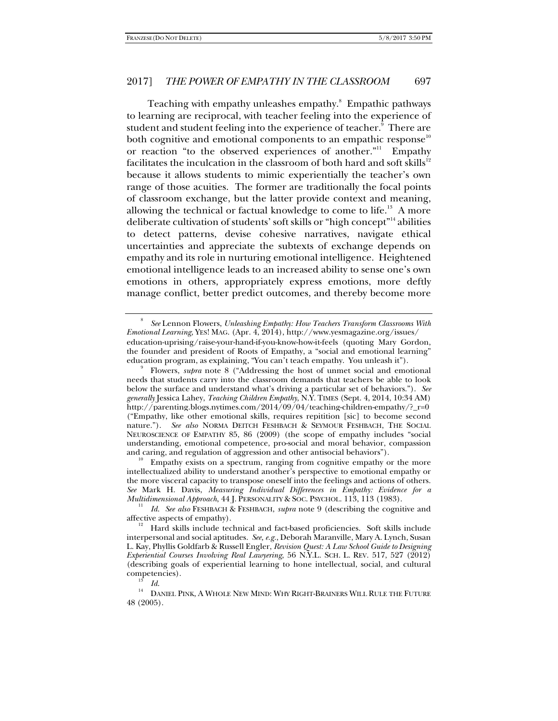Teaching with empathy unleashes empathy.<sup>8</sup> Empathic pathways to learning are reciprocal, with teacher feeling into the experience of student and student feeling into the experience of teacher. $^{\textrm{\textregistered}}$  There are both cognitive and emotional components to an empathic response<sup>10</sup> or reaction "to the observed experiences of another."11 Empathy facilitates the inculcation in the classroom of both hard and soft skills $12$ because it allows students to mimic experientially the teacher's own range of those acuities. The former are traditionally the focal points of classroom exchange, but the latter provide context and meaning, allowing the technical or factual knowledge to come to life.<sup>13</sup> A more deliberate cultivation of students' soft skills or "high concept"14 abilities to detect patterns, devise cohesive narratives, navigate ethical uncertainties and appreciate the subtexts of exchange depends on empathy and its role in nurturing emotional intelligence. Heightened emotional intelligence leads to an increased ability to sense one's own emotions in others, appropriately express emotions, more deftly manage conflict, better predict outcomes, and thereby become more

and caring, and regulation of aggression and other antisocial behaviors").<br><sup>10</sup> Empathy exists on a spectrum, ranging from cognitive empathy or the more intellectualized ability to understand another's perspective to emotional empathy or the more visceral capacity to transpose oneself into the feelings and actions of others. *See* Mark H. Davis, *Measuring Individual Differences in Empathy: Evidence for a Multidimensional Approach*, 44 J. PERSONALITY & SOC. PSYCHOL. 113, 113 (1983).

*Id*. *See also* FESHBACH & FESHBACH, *supra* note 9 (describing the cognitive and

<sup>8</sup> *See* Lennon Flowers, *Unleashing Empathy: How Teachers Transform Classrooms With Emotional Learning*, YES! MAG. (Apr. 4, 2014), http://www.yesmagazine.org/issues/ education-uprising/raise-your-hand-if-you-know-how-it-feels (quoting Mary Gordon, the founder and president of Roots of Empathy, a "social and emotional learning" education program, as explaining, "You can't teach empathy. You unleash it"). 9

Flowers, *supra* note 8 ("Addressing the host of unmet social and emotional needs that students carry into the classroom demands that teachers be able to look below the surface and understand what's driving a particular set of behaviors."). *See generally* Jessica Lahey, *Teaching Children Empathy*, N.Y. TIMES (Sept. 4, 2014, 10:34 AM) http://parenting.blogs.nytimes.com/2014/09/04/teaching-children-empathy/?\_r=0 ("Empathy, like other emotional skills, requires repitition [sic] to become second nature."). *See also* NORMA DEITCH FESHBACH & SEYMOUR FESHBACH, THE SOCIAL NEUROSCIENCE OF EMPATHY 85, 86 (2009) (the scope of empathy includes "social understanding, emotional competence, pro-social and moral behavior, compassion

affective aspects of empathy).<br><sup>12</sup> Hard skills include technical and fact-based proficiencies. Soft skills include interpersonal and social aptitudes. *See, e.g.*, Deborah Maranville, Mary A. Lynch, Susan L. Kay, Phyllis Goldfarb & Russell Engler, *Revision Quest: A Law School Guide to Designing Experiential Courses Involving Real Lawyering*, 56 N.Y.L. SCH. L. REV. 517, 527 (2012) (describing goals of experiential learning to hone intellectual, social, and cultural

competencies). *Is Id.* 14 DANIEL PINK, A WHOLE NEW MIND: WHY RIGHT-BRAINERS WILL RULE THE FUTURE 48 (2005).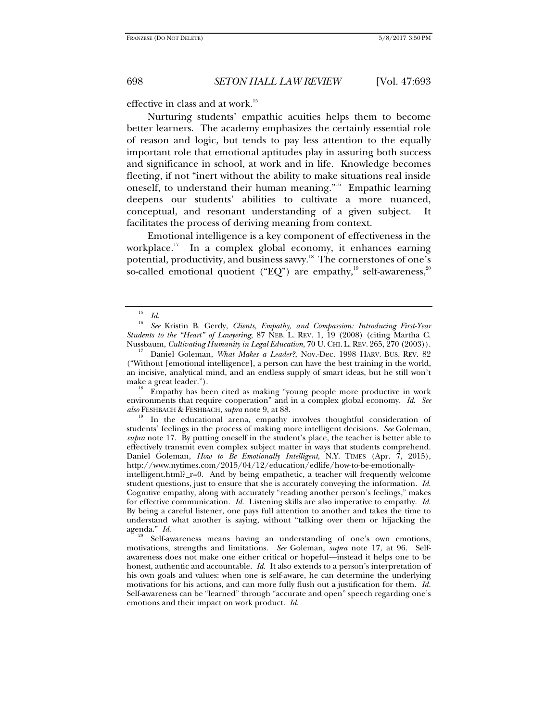effective in class and at work.<sup>15</sup>

Nurturing students' empathic acuities helps them to become better learners. The academy emphasizes the certainly essential role of reason and logic, but tends to pay less attention to the equally important role that emotional aptitudes play in assuring both success and significance in school, at work and in life. Knowledge becomes fleeting, if not "inert without the ability to make situations real inside oneself, to understand their human meaning."16 Empathic learning deepens our students' abilities to cultivate a more nuanced, conceptual, and resonant understanding of a given subject. facilitates the process of deriving meaning from context.

Emotional intelligence is a key component of effectiveness in the workplace.<sup>17</sup> In a complex global economy, it enhances earning potential, productivity, and business savvy.<sup>18</sup> The cornerstones of one's so-called emotional quotient ("EQ") are empathy,<sup>19</sup> self-awareness,<sup>20</sup>

environments that require cooperation" and in a complex global economy. *Id*. *See* 

In the educational arena, empathy involves thoughtful consideration of students' feelings in the process of making more intelligent decisions. *See* Goleman, *supra* note 17. By putting oneself in the student's place, the teacher is better able to effectively transmit even complex subject matter in ways that students comprehend. Daniel Goleman, *How to Be Emotionally Intelligent*, N.Y. TIMES (Apr. 7, 2015), http://www.nytimes.com/2015/04/12/education/edlife/how-to-be-emotionally-

intelligent.html?\_r=0. And by being empathetic, a teacher will frequently welcome student questions, just to ensure that she is accurately conveying the information. *Id*. Cognitive empathy, along with accurately "reading another person's feelings," makes for effective communication. *Id.* Listening skills are also imperative to empathy. *Id*. By being a careful listener, one pays full attention to another and takes the time to understand what another is saying, without "talking over them or hijacking the agenda." *Id.*<br><sup>20</sup> Self-awareness means having an understanding of one's own emotions,

motivations, strengths and limitations. *See* Goleman, *supra* note 17, at 96. Selfawareness does not make one either critical or hopeful—instead it helps one to be honest, authentic and accountable. *Id.* It also extends to a person's interpretation of his own goals and values: when one is self-aware, he can determine the underlying motivations for his actions, and can more fully flush out a justification for them. *Id.* Self-awareness can be "learned" through "accurate and open" speech regarding one's emotions and their impact on work product. *Id.*

<sup>15</sup>  $\frac{15}{16}$  *Id.* 

*See* Kristin B. Gerdy, *Clients, Empathy, and Compassion: Introducing First-Year Students to the "Heart" of Lawyering*, 87 NEB. L. REV. 1, 19 (2008) (citing Martha C.

Daniel Goleman, *What Makes a Leader?*, Nov.-Dec. 1998 HARV. Bus. REV. 82 ("Without [emotional intelligence], a person can have the best training in the world, an incisive, analytical mind, and an endless supply of smart ideas, but he still won't make a great leader.").<br><sup>18</sup> Empathy has been cited as making "young people more productive in work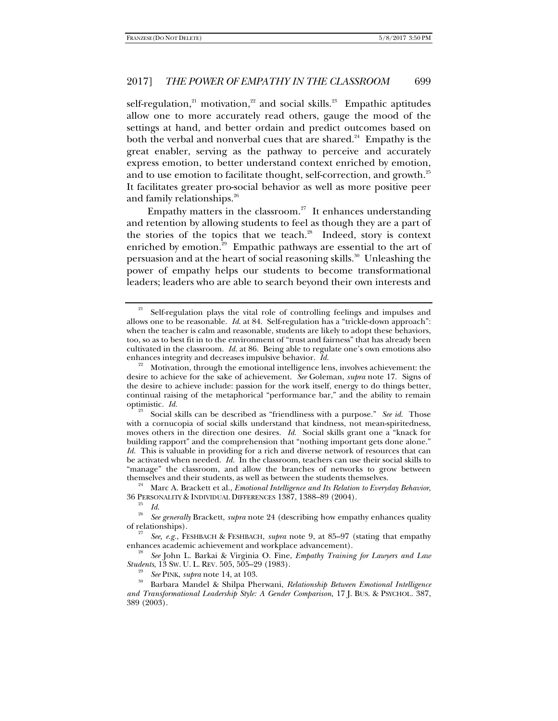self-regulation, $21$  motivation, $22$  and social skills. $23$  Empathic aptitudes allow one to more accurately read others, gauge the mood of the settings at hand, and better ordain and predict outcomes based on both the verbal and nonverbal cues that are shared. $24$  Empathy is the great enabler, serving as the pathway to perceive and accurately express emotion, to better understand context enriched by emotion, and to use emotion to facilitate thought, self-correction, and growth.<sup>25</sup> It facilitates greater pro-social behavior as well as more positive peer and family relationships.<sup>26</sup>

Empathy matters in the classroom.<sup>27</sup> It enhances understanding and retention by allowing students to feel as though they are a part of the stories of the topics that we teach.<sup>28</sup> Indeed, story is context enriched by emotion.<sup>29</sup> Empathic pathways are essential to the art of persuasion and at the heart of social reasoning skills.<sup>30</sup> Unleashing the power of empathy helps our students to become transformational leaders; leaders who are able to search beyond their own interests and

<sup>24</sup> Marc A. Brackett et al., *Emotional Intelligence and Its Relation to Everyday Behavior*, 36 PERSONALITY & INDIVIDUAL DIFFERENCES 1387, 1388–89 (2004).

<sup>21</sup> Self-regulation plays the vital role of controlling feelings and impulses and allows one to be reasonable. *Id*. at 84. Self-regulation has a "trickle-down approach": when the teacher is calm and reasonable, students are likely to adopt these behaviors, too, so as to best fit in to the environment of "trust and fairness" that has already been cultivated in the classroom. *Id.* at 86. Being able to regulate one's own emotions also

enhances integrity and decreases impulsive behavior. *Id.* <sup>22</sup> Motivation, through the emotional intelligence lens, involves achievement: the desire to achieve for the sake of achievement. *See* Goleman, *supra* note 17. Signs of the desire to achieve include: passion for the work itself, energy to do things better, continual raising of the metaphorical "performance bar," and the ability to remain optimistic.  $Id$ .

Social skills can be described as "friendliness with a purpose." *See id.* Those with a cornucopia of social skills understand that kindness, not mean-spiritedness, moves others in the direction one desires. *Id.* Social skills grant one a "knack for building rapport" and the comprehension that "nothing important gets done alone." *Id.* This is valuable in providing for a rich and diverse network of resources that can be activated when needed. *Id.* In the classroom, teachers can use their social skills to "manage" the classroom, and allow the branches of networks to grow between

<sup>&</sup>lt;sup>25</sup> Id.<br><sup>26</sup> See generally Brackett, *supra* note 24 (describing how empathy enhances quality of relationships).

*See, e.g.*, FESHBACH & FESHBACH, *supra* note 9, at 85–97 (stating that empathy enhances academic achievement and workplace advancement). 28 *See* John L. Barkai & Virginia O. Fine, *Empathy Training for Lawyers and Law* 

*Students*, 13 SW. U. L. REV. 505, 505–29 (1983). 29 *See* PINK, *supra* note 14, at 103. 30 Barbara Mandel & Shilpa Pherwani, *Relationship Between Emotional Intelligence and Transformational Leadership Style: A Gender Comparison*, 17 J. BUS. & PSYCHOL. 387, 389 (2003).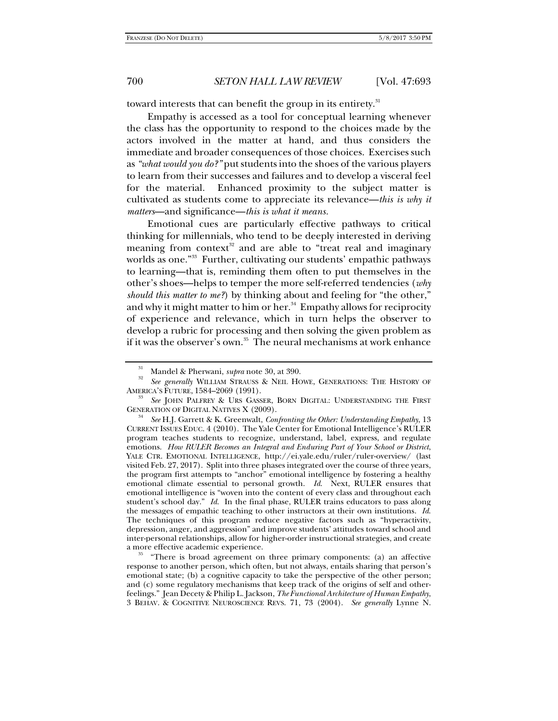toward interests that can benefit the group in its entirety.<sup>31</sup>

Empathy is accessed as a tool for conceptual learning whenever the class has the opportunity to respond to the choices made by the actors involved in the matter at hand, and thus considers the immediate and broader consequences of those choices. Exercises such as *"what would you do?"* put students into the shoes of the various players to learn from their successes and failures and to develop a visceral feel for the material. Enhanced proximity to the subject matter is cultivated as students come to appreciate its relevance—*this is why it matters*—and significance—*this is what it means.*

Emotional cues are particularly effective pathways to critical thinking for millennials, who tend to be deeply interested in deriving meaning from context<sup>32</sup> and are able to "treat real and imaginary worlds as one."<sup>33</sup> Further, cultivating our students' empathic pathways to learning—that is, reminding them often to put themselves in the other's shoes—helps to temper the more self-referred tendencies (*why should this matter to me?*) by thinking about and feeling for "the other," and why it might matter to him or her. $34$  Empathy allows for reciprocity of experience and relevance, which in turn helps the observer to develop a rubric for processing and then solving the given problem as if it was the observer's own.<sup>35</sup> The neural mechanisms at work enhance

response to another person, which often, but not always, entails sharing that person's emotional state; (b) a cognitive capacity to take the perspective of the other person; and (c) some regulatory mechanisms that keep track of the origins of self and otherfeelings." Jean Decety & Philip L. Jackson, *The Functional Architecture of Human Empathy*, 3 BEHAV. & COGNITIVE NEUROSCIENCE REVS. 71, 73 (2004). *See generally* Lynne N.

<sup>&</sup>lt;sup>31</sup> Mandel & Pherwani, *supra* note 30, at 390.

*See generally* WILLIAM STRAUSS & NEIL HOWE, GENERATIONS: THE HISTORY OF AMERICA'S FUTURE, 1584–2069 (1991). 33

*See* JOHN PALFREY & URS GASSER, BORN DIGITAL: UNDERSTANDING THE FIRST GENERATION OF DIGITAL NATIVES X (2009).

*See* H.J. Garrett & K. Greenwalt, *Confronting the Other: Understanding Empathy*, 13 CURRENT ISSUES EDUC. 4 (2010). The Yale Center for Emotional Intelligence's RULER program teaches students to recognize, understand, label, express, and regulate emotions. *How RULER Becomes an Integral and Enduring Part of Your School or District*, YALE CTR. EMOTIONAL INTELLIGENCE, http://ei.yale.edu/ruler/ruler-overview/ (last visited Feb. 27, 2017). Split into three phases integrated over the course of three years, the program first attempts to "anchor" emotional intelligence by fostering a healthy emotional climate essential to personal growth. *Id*. Next, RULER ensures that emotional intelligence is "woven into the content of every class and throughout each student's school day." *Id*. In the final phase, RULER trains educators to pass along the messages of empathic teaching to other instructors at their own institutions. *Id*. The techniques of this program reduce negative factors such as "hyperactivity, depression, anger, and aggression" and improve students' attitudes toward school and inter-personal relationships, allow for higher-order instructional strategies, and create a more effective academic experience. 35 "There is broad agreement on three primary components: (a) an affective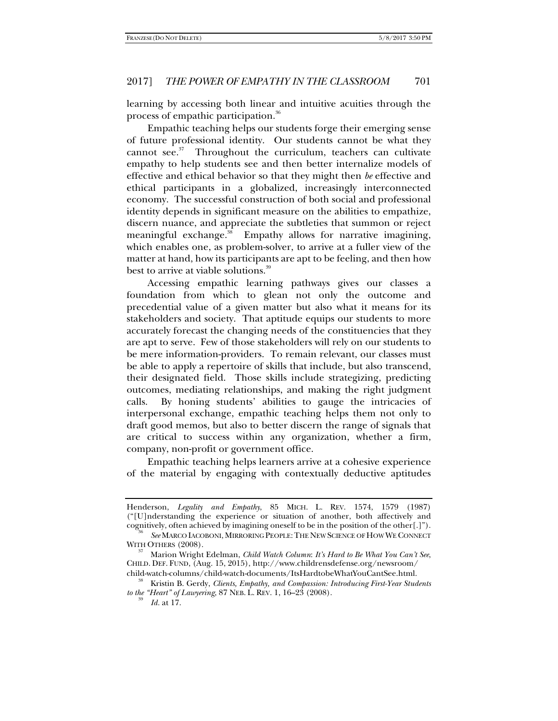learning by accessing both linear and intuitive acuities through the process of empathic participation.<sup>36</sup>

Empathic teaching helps our students forge their emerging sense of future professional identity. Our students cannot be what they cannot see. $37$  Throughout the curriculum, teachers can cultivate empathy to help students see and then better internalize models of effective and ethical behavior so that they might then *be* effective and ethical participants in a globalized, increasingly interconnected economy. The successful construction of both social and professional identity depends in significant measure on the abilities to empathize, discern nuance, and appreciate the subtleties that summon or reject meaningful exchange.<sup>38</sup> Empathy allows for narrative imagining, which enables one, as problem-solver, to arrive at a fuller view of the matter at hand, how its participants are apt to be feeling, and then how best to arrive at viable solutions.<sup>39</sup>

Accessing empathic learning pathways gives our classes a foundation from which to glean not only the outcome and precedential value of a given matter but also what it means for its stakeholders and society. That aptitude equips our students to more accurately forecast the changing needs of the constituencies that they are apt to serve. Few of those stakeholders will rely on our students to be mere information-providers. To remain relevant, our classes must be able to apply a repertoire of skills that include, but also transcend, their designated field. Those skills include strategizing, predicting outcomes, mediating relationships, and making the right judgment calls. By honing students' abilities to gauge the intricacies of interpersonal exchange, empathic teaching helps them not only to draft good memos, but also to better discern the range of signals that are critical to success within any organization, whether a firm, company, non-profit or government office.

Empathic teaching helps learners arrive at a cohesive experience of the material by engaging with contextually deductive aptitudes

Henderson, *Legality and Empathy*, 85 MICH. L. REV. 1574, 1579 (1987) ("[U]nderstanding the experience or situation of another, both affectively and cognitively, often achieved by imagining oneself to be in the position of the other $[.]$ ").

<sup>&</sup>lt;sup>36</sup> *See* MARCO IACOBONI, MIRRORING PEOPLE: THE NEW SCIENCE OF HOW WE CONNECT WITH OTHERS (2008).

Marion Wright Edelman, *Child Watch Column*: *It's Hard to Be What You Can't See*, CHILD. DEF. FUND, (Aug. 15, 2015), http://www.childrensdefense.org/newsroom/

child-watch-columns/child-watch-documents/ItsHardtobeWhatYouCantSee.html. 38 Kristin B. Gerdy, *Clients, Empathy, and Compassion: Introducing First-Year Students* 

*to the "Heart" of Lawyering*, 87 NEB. L. REV. 1, 16–23 (2008).

*Id.* at 17.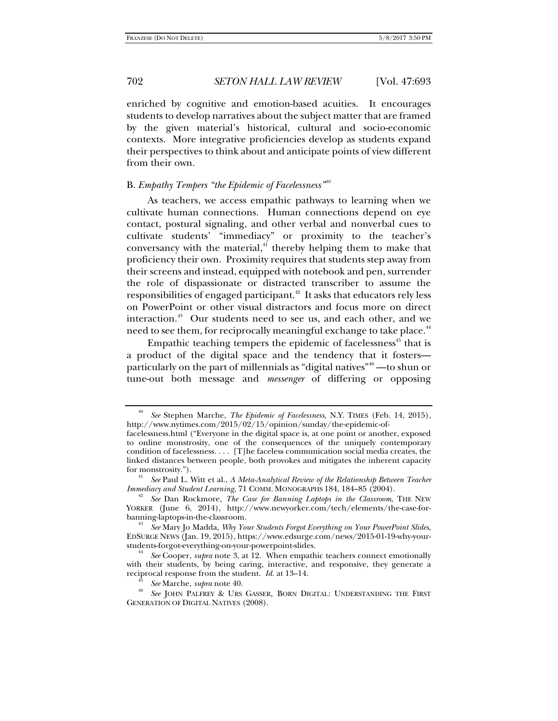enriched by cognitive and emotion-based acuities. It encourages students to develop narratives about the subject matter that are framed by the given material's historical, cultural and socio-economic contexts. More integrative proficiencies develop as students expand their perspectives to think about and anticipate points of view different from their own.

### B. *Empathy Tempers "the Epidemic of Facelessness"<sup>40</sup>*

As teachers, we access empathic pathways to learning when we cultivate human connections. Human connections depend on eye contact, postural signaling, and other verbal and nonverbal cues to cultivate students' "immediacy" or proximity to the teacher's conversancy with the material, $4$ <sup>1</sup> thereby helping them to make that proficiency their own. Proximity requires that students step away from their screens and instead, equipped with notebook and pen, surrender the role of dispassionate or distracted transcriber to assume the responsibilities of engaged participant.<sup> $42$ </sup> It asks that educators rely less on PowerPoint or other visual distractors and focus more on direct interaction.<sup>43</sup> Our students need to see us, and each other, and we need to see them, for reciprocally meaningful exchange to take place.<sup>44</sup>

Empathic teaching tempers the epidemic of facelessness<sup>45</sup> that is a product of the digital space and the tendency that it fosters particularly on the part of millennials as "digital natives"<sup>46</sup> —to shun or tune-out both message and *messenger* of differing or opposing

<sup>40</sup> *See* Stephen Marche, *The Epidemic of Facelessness*, N.Y. TIMES (Feb. 14, 2015), http://www.nytimes.com/2015/02/15/opinion/sunday/the-epidemic-of-

facelessness.html ("Everyone in the digital space is, at one point or another, exposed to online monstrosity, one of the consequences of the uniquely contemporary condition of facelessness. . . . [T]he faceless communication social media creates, the linked distances between people, both provokes and mitigates the inherent capacity for monstrosity.").

<sup>&</sup>lt;sup>41</sup> See Paul L. Witt et al., *A Meta-Analytical Review of the Relationship Between Teacher Immediacy and Student Learning, 71 COMM. MONOGRAPHS 184, 184–85 (2004).* 

<sup>&</sup>lt;sup>42</sup> See Dan Rockmore, *The Case for Banning Laptops in the Classroom*, THE NEW YORKER (June 6, 2014), http://www.newyorker.com/tech/elements/the-case-forbanning-laptops-in-the-classroom. 43

*See* Mary Jo Madda, *Why Your Students Forgot Everything on Your PowerPoint Slides*, EDSURGE NEWS (Jan. 19, 2015), https://www.edsurge.com/news/2015-01-19-why-yourstudents-forgot-everything-on-your-powerpoint-slides. 44 *See* Cooper, *supra* note 3, at 12. When empathic teachers connect emotionally

with their students, by being caring, interactive, and responsive, they generate a reciprocal response from the student. *Id.* at 13–14. 45 *See* Marche, *supra* note 40. 46

*See* JOHN PALFREY & URS GASSER, BORN DIGITAL: UNDERSTANDING THE FIRST GENERATION OF DIGITAL NATIVES (2008).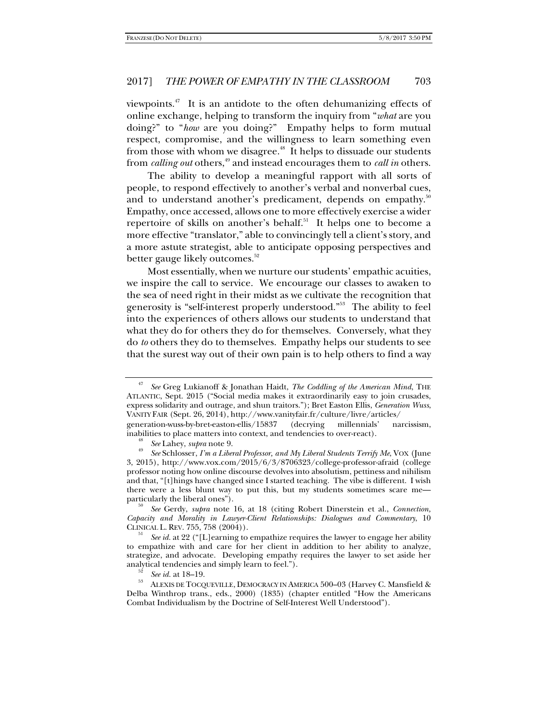viewpoints.<sup>47</sup> It is an antidote to the often dehumanizing effects of online exchange, helping to transform the inquiry from "*what* are you doing?" to "*how* are you doing?" Empathy helps to form mutual respect, compromise, and the willingness to learn something even from those with whom we disagree. $48$  It helps to dissuade our students from *calling out* others,<sup>49</sup> and instead encourages them to *call in* others.

The ability to develop a meaningful rapport with all sorts of people, to respond effectively to another's verbal and nonverbal cues, and to understand another's predicament, depends on empathy.<sup>50</sup> Empathy, once accessed, allows one to more effectively exercise a wider repertoire of skills on another's behalf.<sup>51</sup> It helps one to become a more effective "translator," able to convincingly tell a client's story, and a more astute strategist, able to anticipate opposing perspectives and better gauge likely outcomes.<sup>52</sup>

Most essentially, when we nurture our students' empathic acuities, we inspire the call to service. We encourage our classes to awaken to the sea of need right in their midst as we cultivate the recognition that generosity is "self-interest properly understood."53 The ability to feel into the experiences of others allows our students to understand that what they do for others they do for themselves. Conversely, what they do *to* others they do to themselves. Empathy helps our students to see that the surest way out of their own pain is to help others to find a way

 *See* Gerdy, *supra* note 16, at 18 (citing Robert Dinerstein et al., *Connection, Capacity and Morality in Lawyer-Client Relationships: Dialogues and Commentary*, 10 CLINICAL L. REV. 755, 758 (2004)). 51 *See id.* at 22 ("[L]earning to empathize requires the lawyer to engage her ability

to empathize with and care for her client in addition to her ability to analyze, strategize, and advocate. Developing empathy requires the lawyer to set aside her analytical tendencies and simply learn to feel.").<br><sup>52</sup> *See id.* at 18–19.<br><sup>53</sup> ALEXIS DE TOCQUEVILLE, DEMOCRACY IN AMERICA 500–03 (Harvey C. Mansfield &

<sup>47</sup> *See* Greg Lukianoff & Jonathan Haidt, *The Coddling of the American Mind*, THE ATLANTIC, Sept. 2015 ("Social media makes it extraordinarily easy to join crusades, express solidarity and outrage, and shun traitors."); Bret Easton Ellis, *Generation Wuss*, VANITY FAIR (Sept. 26, 2014), http://www.vanityfair.fr/culture/livre/articles/

generation-wuss-by-bret-easton-ellis/15837 (decrying millennials' narcissism, inabilities to place matters into context, and tendencies to over-react).<br><sup>48</sup> See Lahey, *supra* note 9.

*See* Schlosser, *I'm a Liberal Professor, and My Liberal Students Terrify Me*, VOX (June 3, 2015), http://www.vox.com/2015/6/3/8706323/college-professor-afraid (college professor noting how online discourse devolves into absolutism, pettiness and nihilism and that, "[t]hings have changed since I started teaching. The vibe is different. I wish there were a less blunt way to put this, but my students sometimes scare me particularly the liberal ones").

Delba Winthrop trans., eds., 2000) (1835) (chapter entitled "How the Americans Combat Individualism by the Doctrine of Self-Interest Well Understood").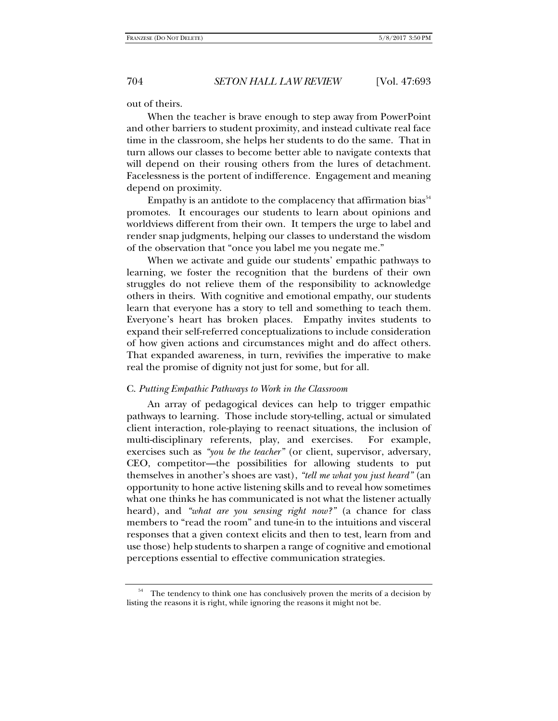out of theirs.

When the teacher is brave enough to step away from PowerPoint and other barriers to student proximity, and instead cultivate real face time in the classroom, she helps her students to do the same. That in turn allows our classes to become better able to navigate contexts that will depend on their rousing others from the lures of detachment. Facelessness is the portent of indifference. Engagement and meaning depend on proximity.

Empathy is an antidote to the complacency that affirmation bias $54$ promotes. It encourages our students to learn about opinions and worldviews different from their own. It tempers the urge to label and render snap judgments, helping our classes to understand the wisdom of the observation that "once you label me you negate me."

When we activate and guide our students' empathic pathways to learning, we foster the recognition that the burdens of their own struggles do not relieve them of the responsibility to acknowledge others in theirs. With cognitive and emotional empathy, our students learn that everyone has a story to tell and something to teach them. Everyone's heart has broken places. Empathy invites students to expand their self-referred conceptualizations to include consideration of how given actions and circumstances might and do affect others. That expanded awareness, in turn, revivifies the imperative to make real the promise of dignity not just for some, but for all.

#### C. *Putting Empathic Pathways to Work in the Classroom*

An array of pedagogical devices can help to trigger empathic pathways to learning. Those include story-telling, actual or simulated client interaction, role-playing to reenact situations, the inclusion of multi-disciplinary referents, play, and exercises. For example, exercises such as *"you be the teacher"* (or client, supervisor, adversary, CEO, competitor—the possibilities for allowing students to put themselves in another's shoes are vast), *"tell me what you just heard"* (an opportunity to hone active listening skills and to reveal how sometimes what one thinks he has communicated is not what the listener actually heard), and *"what are you sensing right now?"* (a chance for class members to "read the room" and tune-in to the intuitions and visceral responses that a given context elicits and then to test, learn from and use those) help students to sharpen a range of cognitive and emotional perceptions essential to effective communication strategies.

 $54$  The tendency to think one has conclusively proven the merits of a decision by listing the reasons it is right, while ignoring the reasons it might not be.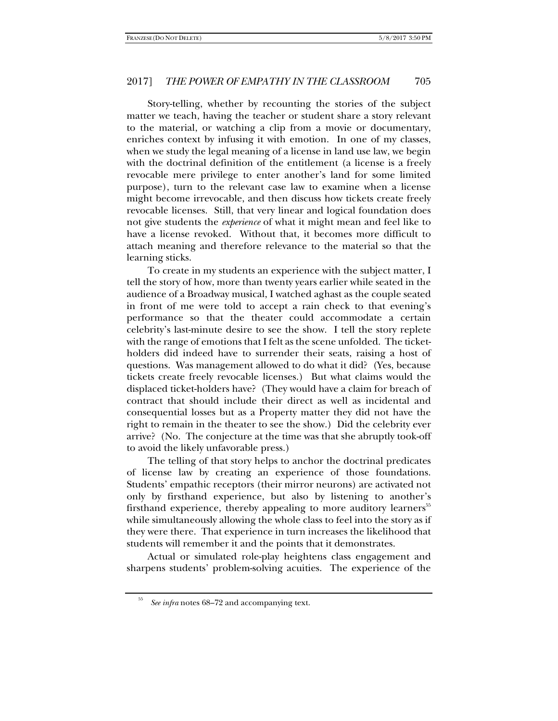Story-telling, whether by recounting the stories of the subject matter we teach, having the teacher or student share a story relevant to the material, or watching a clip from a movie or documentary, enriches context by infusing it with emotion. In one of my classes, when we study the legal meaning of a license in land use law, we begin with the doctrinal definition of the entitlement (a license is a freely revocable mere privilege to enter another's land for some limited purpose), turn to the relevant case law to examine when a license might become irrevocable, and then discuss how tickets create freely revocable licenses. Still, that very linear and logical foundation does not give students the *experience* of what it might mean and feel like to have a license revoked. Without that, it becomes more difficult to attach meaning and therefore relevance to the material so that the learning sticks.

To create in my students an experience with the subject matter, I tell the story of how, more than twenty years earlier while seated in the audience of a Broadway musical, I watched aghast as the couple seated in front of me were told to accept a rain check to that evening's performance so that the theater could accommodate a certain celebrity's last-minute desire to see the show. I tell the story replete with the range of emotions that I felt as the scene unfolded. The ticketholders did indeed have to surrender their seats, raising a host of questions. Was management allowed to do what it did? (Yes, because tickets create freely revocable licenses.) But what claims would the displaced ticket-holders have? (They would have a claim for breach of contract that should include their direct as well as incidental and consequential losses but as a Property matter they did not have the right to remain in the theater to see the show.) Did the celebrity ever arrive? (No. The conjecture at the time was that she abruptly took-off to avoid the likely unfavorable press.)

The telling of that story helps to anchor the doctrinal predicates of license law by creating an experience of those foundations. Students' empathic receptors (their mirror neurons) are activated not only by firsthand experience, but also by listening to another's firsthand experience, thereby appealing to more auditory learners<sup>55</sup> while simultaneously allowing the whole class to feel into the story as if they were there. That experience in turn increases the likelihood that students will remember it and the points that it demonstrates.

Actual or simulated role-play heightens class engagement and sharpens students' problem-solving acuities. The experience of the

<sup>55</sup> *See infra* notes 68–72 and accompanying text.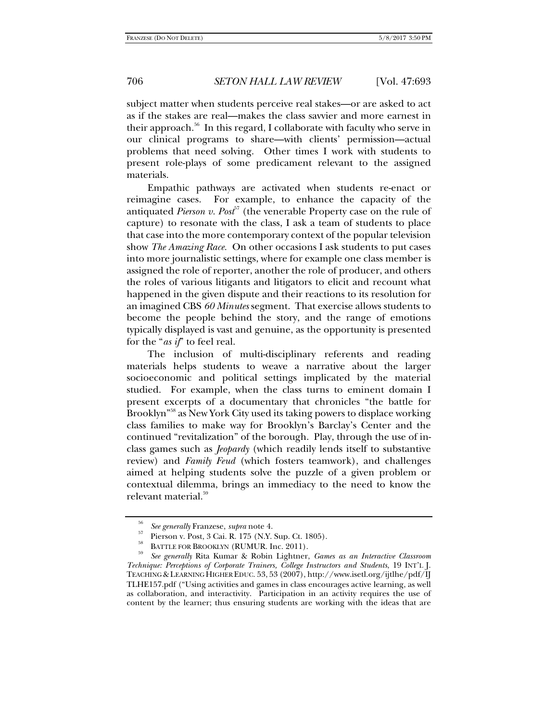subject matter when students perceive real stakes—or are asked to act as if the stakes are real—makes the class savvier and more earnest in their approach.<sup>56</sup> In this regard, I collaborate with faculty who serve in our clinical programs to share—with clients' permission—actual problems that need solving. Other times I work with students to present role-plays of some predicament relevant to the assigned materials.

Empathic pathways are activated when students re-enact or reimagine cases. For example, to enhance the capacity of the antiquated *Pierson v. Post<sup>57</sup>* (the venerable Property case on the rule of capture) to resonate with the class, I ask a team of students to place that case into the more contemporary context of the popular television show *The Amazing Race.* On other occasions I ask students to put cases into more journalistic settings, where for example one class member is assigned the role of reporter, another the role of producer, and others the roles of various litigants and litigators to elicit and recount what happened in the given dispute and their reactions to its resolution for an imagined CBS *60 Minutes* segment. That exercise allows students to become the people behind the story, and the range of emotions typically displayed is vast and genuine, as the opportunity is presented for the "*as if*" to feel real.

The inclusion of multi-disciplinary referents and reading materials helps students to weave a narrative about the larger socioeconomic and political settings implicated by the material studied. For example, when the class turns to eminent domain I present excerpts of a documentary that chronicles "the battle for Brooklyn"58 as New York City used its taking powers to displace working class families to make way for Brooklyn's Barclay's Center and the continued "revitalization" of the borough. Play, through the use of inclass games such as *Jeopardy* (which readily lends itself to substantive review) and *Family Feud* (which fosters teamwork), and challenges aimed at helping students solve the puzzle of a given problem or contextual dilemma, brings an immediacy to the need to know the relevant material.<sup>59</sup>

<sup>56</sup>*See generally* Franzese, *supra* note 4. 57 Pierson v. Post, 3 Cai. R. 175 (N.Y. Sup. Ct. 1805).

<sup>58</sup> BATTLE FOR BROOKLYN (RUMUR. Inc. 2011). 59 *See generally* Rita Kumar & Robin Lightner, *Games as an Interactive Classroom Technique: Perceptions of Corporate Trainers, College Instructors and Students*, 19 INT'L J. TEACHING & LEARNING HIGHER EDUC. 53, 53 (2007), http://www.isetl.org/ijtlhe/pdf/IJ TLHE157.pdf ("Using activities and games in class encourages active learning, as well as collaboration, and interactivity. Participation in an activity requires the use of content by the learner; thus ensuring students are working with the ideas that are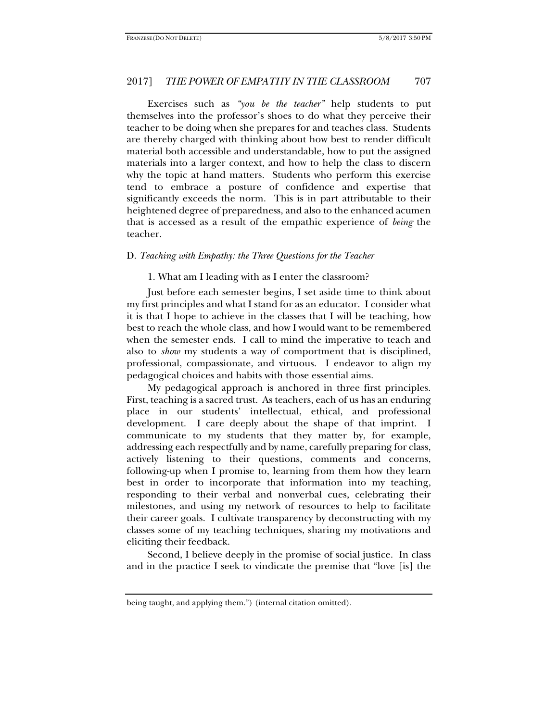Exercises such as *"you be the teacher"* help students to put themselves into the professor's shoes to do what they perceive their teacher to be doing when she prepares for and teaches class. Students are thereby charged with thinking about how best to render difficult material both accessible and understandable, how to put the assigned materials into a larger context, and how to help the class to discern why the topic at hand matters. Students who perform this exercise tend to embrace a posture of confidence and expertise that significantly exceeds the norm. This is in part attributable to their heightened degree of preparedness, and also to the enhanced acumen that is accessed as a result of the empathic experience of *being* the teacher.

### D. *Teaching with Empathy: the Three Questions for the Teacher*

1. What am I leading with as I enter the classroom?

Just before each semester begins, I set aside time to think about my first principles and what I stand for as an educator. I consider what it is that I hope to achieve in the classes that I will be teaching, how best to reach the whole class, and how I would want to be remembered when the semester ends. I call to mind the imperative to teach and also to *show* my students a way of comportment that is disciplined, professional, compassionate, and virtuous. I endeavor to align my pedagogical choices and habits with those essential aims.

My pedagogical approach is anchored in three first principles. First, teaching is a sacred trust. As teachers, each of us has an enduring place in our students' intellectual, ethical, and professional development. I care deeply about the shape of that imprint. I communicate to my students that they matter by, for example, addressing each respectfully and by name, carefully preparing for class, actively listening to their questions, comments and concerns, following-up when I promise to, learning from them how they learn best in order to incorporate that information into my teaching, responding to their verbal and nonverbal cues, celebrating their milestones, and using my network of resources to help to facilitate their career goals. I cultivate transparency by deconstructing with my classes some of my teaching techniques, sharing my motivations and eliciting their feedback.

Second, I believe deeply in the promise of social justice. In class and in the practice I seek to vindicate the premise that "love [is] the

being taught, and applying them.") (internal citation omitted).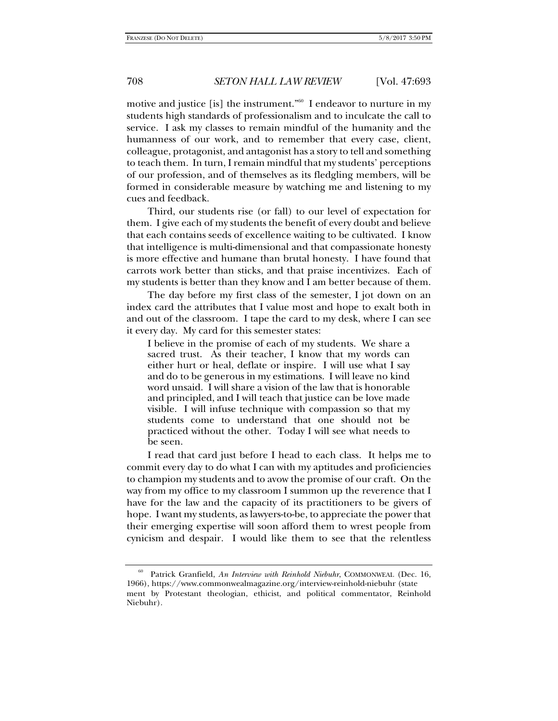motive and justice [is] the instrument."60 I endeavor to nurture in my students high standards of professionalism and to inculcate the call to service. I ask my classes to remain mindful of the humanity and the humanness of our work, and to remember that every case, client, colleague, protagonist, and antagonist has a story to tell and something to teach them. In turn, I remain mindful that my students' perceptions of our profession, and of themselves as its fledgling members, will be formed in considerable measure by watching me and listening to my cues and feedback.

Third, our students rise (or fall) to our level of expectation for them. I give each of my students the benefit of every doubt and believe that each contains seeds of excellence waiting to be cultivated. I know that intelligence is multi-dimensional and that compassionate honesty is more effective and humane than brutal honesty. I have found that carrots work better than sticks, and that praise incentivizes. Each of my students is better than they know and I am better because of them.

The day before my first class of the semester, I jot down on an index card the attributes that I value most and hope to exalt both in and out of the classroom. I tape the card to my desk, where I can see it every day. My card for this semester states:

I believe in the promise of each of my students. We share a sacred trust. As their teacher, I know that my words can either hurt or heal, deflate or inspire. I will use what I say and do to be generous in my estimations. I will leave no kind word unsaid. I will share a vision of the law that is honorable and principled, and I will teach that justice can be love made visible. I will infuse technique with compassion so that my students come to understand that one should not be practiced without the other. Today I will see what needs to be seen.

I read that card just before I head to each class. It helps me to commit every day to do what I can with my aptitudes and proficiencies to champion my students and to avow the promise of our craft. On the way from my office to my classroom I summon up the reverence that I have for the law and the capacity of its practitioners to be givers of hope. I want my students, as lawyers-to-be, to appreciate the power that their emerging expertise will soon afford them to wrest people from cynicism and despair.I would like them to see that the relentless

<sup>60</sup> Patrick Granfield, *An Interview with Reinhold Niebuhr*, COMMONWEAL (Dec. 16, 1966), https://www.commonwealmagazine.org/interview-reinhold-niebuhr (state ment by Protestant theologian, ethicist, and political commentator, Reinhold Niebuhr).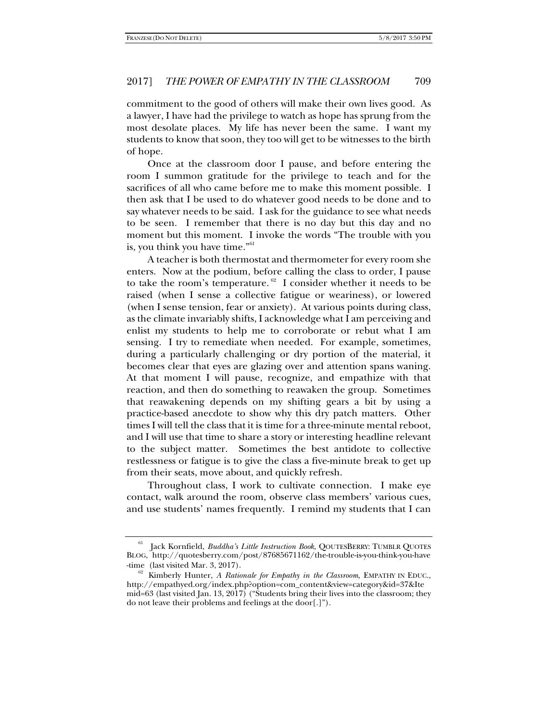commitment to the good of others will make their own lives good. As a lawyer, I have had the privilege to watch as hope has sprung from the most desolate places. My life has never been the same. I want my students to know that soon, they too will get to be witnesses to the birth of hope.

Once at the classroom door I pause, and before entering the room I summon gratitude for the privilege to teach and for the sacrifices of all who came before me to make this moment possible. I then ask that I be used to do whatever good needs to be done and to say whatever needs to be said. I ask for the guidance to see what needs to be seen. I remember that there is no day but this day and no moment but this moment. I invoke the words "The trouble with you is, you think you have time."<sup>61</sup>

A teacher is both thermostat and thermometer for every room she enters. Now at the podium, before calling the class to order, I pause to take the room's temperature.  $62$  I consider whether it needs to be raised (when I sense a collective fatigue or weariness), or lowered (when I sense tension, fear or anxiety). At various points during class, as the climate invariably shifts, I acknowledge what I am perceiving and enlist my students to help me to corroborate or rebut what I am sensing. I try to remediate when needed. For example, sometimes, during a particularly challenging or dry portion of the material, it becomes clear that eyes are glazing over and attention spans waning. At that moment I will pause, recognize, and empathize with that reaction, and then do something to reawaken the group. Sometimes that reawakening depends on my shifting gears a bit by using a practice-based anecdote to show why this dry patch matters. Other times I will tell the class that it is time for a three-minute mental reboot, and I will use that time to share a story or interesting headline relevant to the subject matter. Sometimes the best antidote to collective restlessness or fatigue is to give the class a five-minute break to get up from their seats, move about, and quickly refresh.

Throughout class, I work to cultivate connection. I make eye contact, walk around the room, observe class members' various cues, and use students' names frequently. I remind my students that I can

<sup>61</sup> Jack Kornfield, *Buddha's Little Instruction Book*, QOUTESBERRY: TUMBLR QUOTES BLOG, http://quotesberry.com/post/87685671162/the-trouble-is-you-think-you-have -time (last visited Mar. 3, 2017). 62 Kimberly Hunter, *A Rationale for Empathy in the Classroom*, EMPATHY IN EDUC.,

http://empathyed.org/index.php?option=com\_content&view=category&id=37&Ite mid=63 (last visited Jan. 13, 2017) ("Students bring their lives into the classroom; they do not leave their problems and feelings at the door[.]").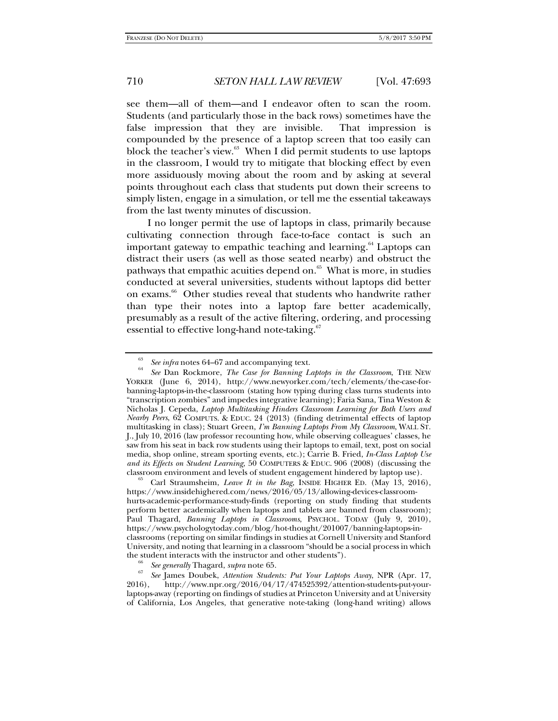see them—all of them—and I endeavor often to scan the room. Students (and particularly those in the back rows) sometimes have the false impression that they are invisible. That impression is compounded by the presence of a laptop screen that too easily can block the teacher's view.<sup>63</sup> When I did permit students to use laptops in the classroom, I would try to mitigate that blocking effect by even more assiduously moving about the room and by asking at several points throughout each class that students put down their screens to simply listen, engage in a simulation, or tell me the essential takeaways from the last twenty minutes of discussion.

I no longer permit the use of laptops in class, primarily because cultivating connection through face-to-face contact is such an important gateway to empathic teaching and learning.<sup>64</sup> Laptops can distract their users (as well as those seated nearby) and obstruct the pathways that empathic acuities depend on. $65$  What is more, in studies conducted at several universities, students without laptops did better on exams.<sup>66</sup> Other studies reveal that students who handwrite rather than type their notes into a laptop fare better academically, presumably as a result of the active filtering, ordering, and processing essential to effective long-hand note-taking.<sup>67</sup>

https://www.insidehighered.com/news/2016/05/13/allowing-devices-classroomhurts-academic-performance-study-finds (reporting on study finding that students perform better academically when laptops and tablets are banned from classroom); Paul Thagard, *Banning Laptops in Classrooms*, PSYCHOL. TODAY (July 9, 2010), https://www.psychologytoday.com/blog/hot-thought/201007/banning-laptops-inclassrooms (reporting on similar findings in studies at Cornell University and Stanford University, and noting that learning in a classroom "should be a social process in which the student interacts with the instructor and other students").<br>  $\frac{66}{2}$  See generally Thagard, supra note 65.

<sup>67</sup> See James Doubek, *Attention Students: Put Your Laptops Away*, NPR (Apr. 17, 2016).<br>2016). http://www.npr.org/2016/04/17/474525399/attention-students-put-yourhttp://www.npr.org/2016/04/17/474525392/attention-students-put-yourlaptops-away (reporting on findings of studies at Princeton University and at University of California, Los Angeles, that generative note-taking (long-hand writing) allows

<sup>63</sup> See infra notes 64–67 and accompanying text.

*See* Dan Rockmore, *The Case for Banning Laptops in the Classroom*, THE NEW YORKER (June 6, 2014), http://www.newyorker.com/tech/elements/the-case-forbanning-laptops-in-the-classroom (stating how typing during class turns students into "transcription zombies" and impedes integrative learning); Faria Sana, Tina Weston & Nicholas J. Cepeda, *Laptop Multitasking Hinders Classroom Learning for Both Users and Nearby Peers*, 62 COMPUTS. & EDUC. 24 (2013) (finding detrimental effects of laptop multitasking in class); Stuart Green, *I'm Banning Laptops From My Classroom*, WALL ST. J., July 10, 2016 (law professor recounting how, while observing colleagues' classes, he saw from his seat in back row students using their laptops to email, text, post on social media, shop online, stream sporting events, etc.); Carrie B. Fried, *In-Class Laptop Use and its Effects on Student Learning*, 50 COMPUTERS & EDUC. 906 (2008) (discussing the classroom environment and levels of student engagement hindered by laptop use). 65 Carl Straumsheim, *Leave It in the Bag*, INSIDE HIGHER ED. (May 13, 2016),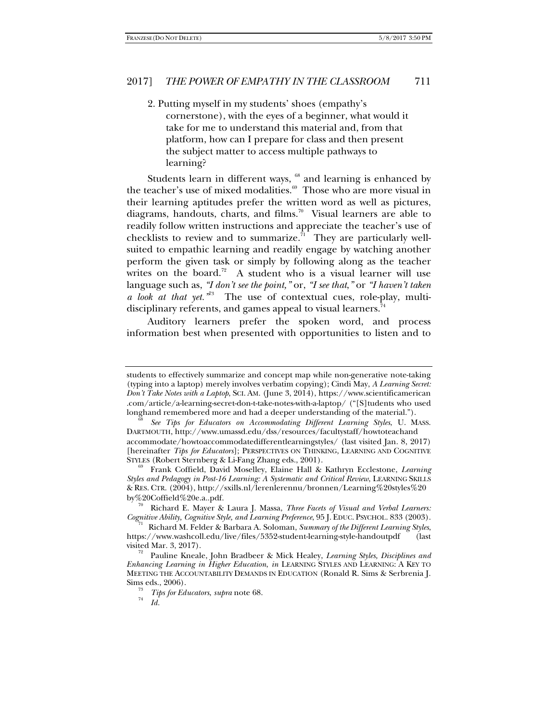2. Putting myself in my students' shoes (empathy's cornerstone), with the eyes of a beginner, what would it take for me to understand this material and, from that platform, how can I prepare for class and then present the subject matter to access multiple pathways to learning?

Students learn in different ways,  $68$  and learning is enhanced by the teacher's use of mixed modalities.<sup>69</sup> Those who are more visual in their learning aptitudes prefer the written word as well as pictures, diagrams, handouts, charts, and films.<sup>70</sup> Visual learners are able to readily follow written instructions and appreciate the teacher's use of checklists to review and to summarize.<sup>71</sup> They are particularly wellsuited to empathic learning and readily engage by watching another perform the given task or simply by following along as the teacher writes on the board.<sup>72</sup> A student who is a visual learner will use language such as, *"I don't see the point,"* or, *"I see that*,*"* or *"I haven't taken a look at that yet."*73 The use of contextual cues, role-play, multidisciplinary referents, and games appeal to visual learners.<sup>74</sup>

Auditory learners prefer the spoken word, and process information best when presented with opportunities to listen and to

by%20Coffield%20e.a..pdf.<br><sup>70</sup> Richard E. Mayer & Laura J. Massa, *Three Facets of Visual and Verbal Learners:*<br>*Cognitive Ability, Cognitive Style, and Learning Preference*, 95 J. EDUC. PSYCHOL. 833 (2003).

Richard M. Felder & Barbara A. Soloman, *Summary of the Different Learning Styles*, https://www.washcoll.edu/live/files/5352-student-learning-style-handoutpdf (last

students to effectively summarize and concept map while non-generative note-taking (typing into a laptop) merely involves verbatim copying); Cindi May, *A Learning Secret: Don't Take Notes with a Laptop*, SCI. AM. (June 3, 2014), https://www.scientificamerican .com/article/a-learning-secret-don-t-take-notes-with-a-laptop/ ("[S]tudents who used longhand remembered more and had a deeper understanding of the material.").

*See Tips for Educators on Accommodating Different Learning Styles*, U. MASS. DARTMOUTH, http://www.umassd.edu/dss/resources/facultystaff/howtoteachand accommodate/howtoaccommodatedifferentlearningstyles/ (last visited Jan. 8, 2017) [hereinafter *Tips for Educators*]; PERSPECTIVES ON THINKING, LEARNING AND COGNITIVE

Frank Coffield, David Moselley, Elaine Hall & Kathryn Ecclestone, *Learning Styles and Pedagogy in Post-16 Learning: A Systematic and Critical Review*, LEARNING SKILLS & RES. CTR. (2004), http://sxills.nl/lerenlerennu/bronnen/Learning%20styles%20

Pauline Kneale, John Bradbeer & Mick Healey, *Learning Styles, Disciplines and Enhancing Learning in Higher Education*, *in* LEARNING STYLES AND LEARNING: A KEY TO MEETING THE ACCOUNTABILITY DEMANDS IN EDUCATION (Ronald R. Sims & Serbrenia J. Sims eds., 2006).<br><sup>73</sup> *Tips for Educators, supra* note 68.

*Id.*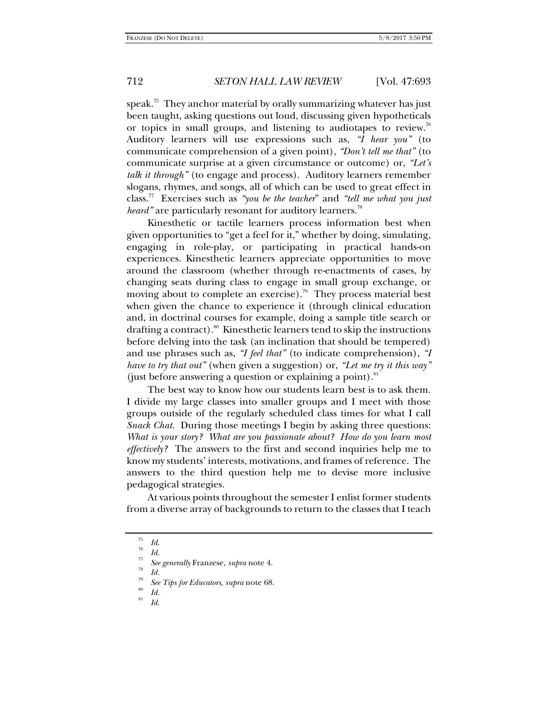speak. $75$  They anchor material by orally summarizing whatever has just been taught, asking questions out loud, discussing given hypotheticals or topics in small groups, and listening to audiotapes to review.<sup>76</sup> Auditory learners will use expressions such as, *"I hear you"* (to communicate comprehension of a given point), *"Don't tell me that"* (to communicate surprise at a given circumstance or outcome) or, *"Let's talk it through"* (to engage and process). Auditory learners remember slogans, rhymes, and songs, all of which can be used to great effect in class.77 Exercises such as *"you be the teacher*" and *"tell me what you just heard*" are particularly resonant for auditory learners.<sup>78</sup>

Kinesthetic or tactile learners process information best when given opportunities to "get a feel for it," whether by doing, simulating, engaging in role-play, or participating in practical hands-on experiences. Kinesthetic learners appreciate opportunities to move around the classroom (whether through re-enactments of cases, by changing seats during class to engage in small group exchange, or moving about to complete an exercise).<sup>79</sup> They process material best when given the chance to experience it (through clinical education and, in doctrinal courses for example, doing a sample title search or drafting a contract). $80$  Kinesthetic learners tend to skip the instructions before delving into the task (an inclination that should be tempered) and use phrases such as, *"I feel that"* (to indicate comprehension), *"I have to try that out"* (when given a suggestion) or, *"Let me try it this way"*  (just before answering a question or explaining a point). $81$ 

The best way to know how our students learn best is to ask them. I divide my large classes into smaller groups and I meet with those groups outside of the regularly scheduled class times for what I call *Snack Chat.* During those meetings I begin by asking three questions: *What is your story? What are you passionate about? How do you learn most effectively?* The answers to the first and second inquiries help me to know my students' interests, motivations, and frames of reference. The answers to the third question help me to devise more inclusive pedagogical strategies.

At various points throughout the semester I enlist former students from a diverse array of backgrounds to return to the classes that I teach

 $\frac{75}{76}$  *Id.*  $\frac{76}{77}$  *Id.* 

*See generally* Franzese, *supra* note 4. 78 *Id.*<sup>79</sup>

<sup>&</sup>lt;sup>79</sup> *See Tips for Educators, supra* note 68.<br><sup>80</sup> *Id.* 81

*Id*.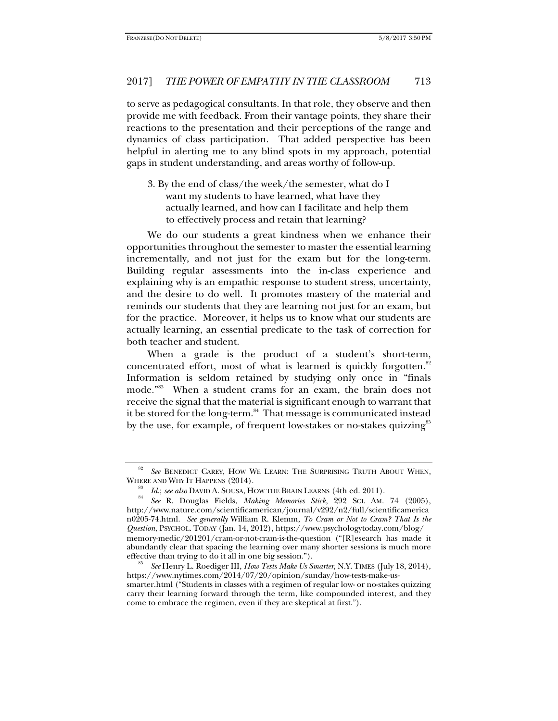to serve as pedagogical consultants. In that role, they observe and then provide me with feedback. From their vantage points, they share their reactions to the presentation and their perceptions of the range and dynamics of class participation. That added perspective has been helpful in alerting me to any blind spots in my approach, potential gaps in student understanding, and areas worthy of follow-up.

3. By the end of class/the week/the semester, what do I want my students to have learned, what have they actually learned, and how can I facilitate and help them to effectively process and retain that learning?

We do our students a great kindness when we enhance their opportunities throughout the semester to master the essential learning incrementally, and not just for the exam but for the long-term. Building regular assessments into the in-class experience and explaining why is an empathic response to student stress, uncertainty, and the desire to do well. It promotes mastery of the material and reminds our students that they are learning not just for an exam, but for the practice. Moreover, it helps us to know what our students are actually learning, an essential predicate to the task of correction for both teacher and student.

When a grade is the product of a student's short-term, concentrated effort, most of what is learned is quickly forgotten.<sup>82</sup> Information is seldom retained by studying only once in "finals mode."83 When a student crams for an exam, the brain does not receive the signal that the material is significant enough to warrant that it be stored for the long-term.<sup>84</sup> That message is communicated instead by the use, for example, of frequent low-stakes or no-stakes quizzing<sup>85</sup>

<sup>82</sup> <sup>82</sup> See BENEDICT CAREY, HOW WE LEARN: THE SURPRISING TRUTH ABOUT WHEN, WHERE AND WHY IT HAPPENS (2014).

<sup>&</sup>lt;sup>83</sup> *Id.; see also* DAVID A. SOUSA, HOW THE BRAIN LEARNS (4th ed. 2011).<br><sup>84</sup> *See* R. Douglas Fields, *Making Memories Stick*, 292 SCI. AM. 74 (2005), http://www.nature.com/scientificamerican/journal/v292/n2/full/scientificamerica n0205-74.html. *See generally* William R. Klemm, *To Cram or Not to Cram? That Is the Question*, PSYCHOL. TODAY (Jan. 14, 2012), https://www.psychologytoday.com/blog/ memory-medic/201201/cram-or-not-cram-is-the-question ("[R]esearch has made it abundantly clear that spacing the learning over many shorter sessions is much more effective than trying to do it all in one big session."). 85 *See* Henry L. Roediger III, *How Tests Make Us Smarter*, N.Y. TIMES (July 18, 2014),

https://www.nytimes.com/2014/07/20/opinion/sunday/how-tests-make-ussmarter.html ("Students in classes with a regimen of regular low- or no-stakes quizzing carry their learning forward through the term, like compounded interest, and they come to embrace the regimen, even if they are skeptical at first.").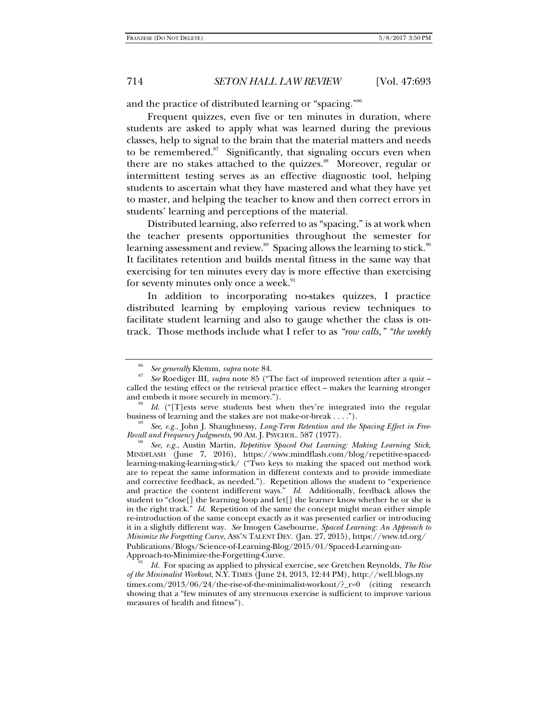and the practice of distributed learning or "spacing."<sup>86</sup>

Frequent quizzes, even five or ten minutes in duration, where students are asked to apply what was learned during the previous classes, help to signal to the brain that the material matters and needs to be remembered. $87$  Significantly, that signaling occurs even when there are no stakes attached to the quizzes.<sup>88</sup> Moreover, regular or intermittent testing serves as an effective diagnostic tool, helping students to ascertain what they have mastered and what they have yet to master, and helping the teacher to know and then correct errors in students' learning and perceptions of the material.

Distributed learning, also referred to as "spacing," is at work when the teacher presents opportunities throughout the semester for learning assessment and review.<sup>89</sup> Spacing allows the learning to stick.<sup>90</sup> It facilitates retention and builds mental fitness in the same way that exercising for ten minutes every day is more effective than exercising for seventy minutes only once a week.<sup>91</sup>

In addition to incorporating no-stakes quizzes, I practice distributed learning by employing various review techniques to facilitate student learning and also to gauge whether the class is ontrack. Those methods include what I refer to as *"row calls," "the weekly* 

<sup>86</sup> <sup>86</sup> *See generally* Klemm, *supra* note 84.

*See* Roediger III, *supra* note 85 ("The fact of improved retention after a quiz – called the testing effect or the retrieval practice effect – makes the learning stronger and embeds it more securely in memory.").

<sup>&</sup>lt;sup>88</sup> *Id.* ("[T]ests serve students best when they're integrated into the regular business of learning and the stakes are not make-or-break ....").

<sup>&</sup>lt;sup>89</sup> See, e.g., John J. Shaughnessy, *Long-Term Retention and the Spacing Effect in Free-Recall and Frequency Judgments, 90 AM. J. PSYCHOL. 587 (1977).* 

*See, e.g., Austin Martin, Repetitive Spaced Out Learning: Making Learning Stick,* MINDFLASH (June 7, 2016), https://www.mindflash.com/blog/repetitive-spacedlearning-making-learning-stick/ ("Two keys to making the spaced out method work are to repeat the same information in different contexts and to provide immediate and corrective feedback, as needed."). Repetition allows the student to "experience and practice the content indifferent ways." *Id*. Additionally, feedback allows the student to "close[] the learning loop and let[] the learner know whether he or she is in the right track." *Id*. Repetition of the same the concept might mean either simple re-introduction of the same concept exactly as it was presented earlier or introducing it in a slightly different way. *See* Imogen Casebourne, *Spaced Learning: An Approach to Minimize the Forgetting Curve*, ASS'N TALENT DEV. (Jan. 27, 2015), https://www.td.org/ Publications/Blogs/Science-of-Learning-Blog/2015/01/Spaced-Learning-an-Approach-to-Minimize-the-Forgetting-Curve.

*Id.* For spacing as applied to physical exercise, see Gretchen Reynolds, *The Rise of the Minimalist Workout*, N.Y. TIMES (June 24, 2013, 12:44 PM), http://well.blogs.ny times.com/2013/06/24/the-rise-of-the-minimalist-workout/?\_r=0 (citing research showing that a "few minutes of any strenuous exercise is sufficient to improve various measures of health and fitness").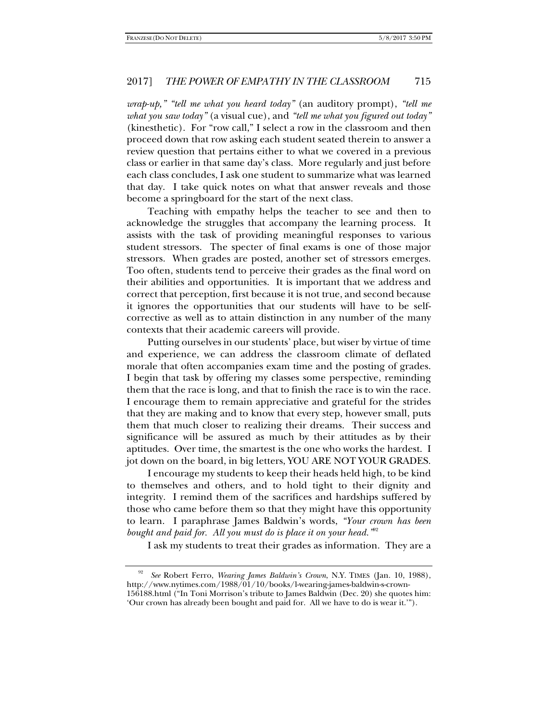*wrap-up," "tell me what you heard today"* (an auditory prompt), *"tell me what you saw today"* (a visual cue), and *"tell me what you figured out today"*  (kinesthetic). For "row call," I select a row in the classroom and then proceed down that row asking each student seated therein to answer a review question that pertains either to what we covered in a previous class or earlier in that same day's class. More regularly and just before each class concludes, I ask one student to summarize what was learned that day. I take quick notes on what that answer reveals and those become a springboard for the start of the next class.

Teaching with empathy helps the teacher to see and then to acknowledge the struggles that accompany the learning process. It assists with the task of providing meaningful responses to various student stressors. The specter of final exams is one of those major stressors. When grades are posted, another set of stressors emerges. Too often, students tend to perceive their grades as the final word on their abilities and opportunities. It is important that we address and correct that perception, first because it is not true, and second because it ignores the opportunities that our students will have to be selfcorrective as well as to attain distinction in any number of the many contexts that their academic careers will provide.

Putting ourselves in our students' place, but wiser by virtue of time and experience, we can address the classroom climate of deflated morale that often accompanies exam time and the posting of grades. I begin that task by offering my classes some perspective, reminding them that the race is long, and that to finish the race is to win the race. I encourage them to remain appreciative and grateful for the strides that they are making and to know that every step, however small, puts them that much closer to realizing their dreams. Their success and significance will be assured as much by their attitudes as by their aptitudes. Over time, the smartest is the one who works the hardest. I jot down on the board, in big letters, YOU ARE NOT YOUR GRADES.

I encourage my students to keep their heads held high, to be kind to themselves and others, and to hold tight to their dignity and integrity. I remind them of the sacrifices and hardships suffered by those who came before them so that they might have this opportunity to learn. I paraphrase James Baldwin's words, *"Your crown has been*  bought and paid for. All you must do is place it on your head.<sup>392</sup>

I ask my students to treat their grades as information. They are a

<sup>92</sup> *See* Robert Ferro, *Wearing James Baldwin's Crown*, N.Y. TIMES (Jan. 10, 1988), http://www.nytimes.com/1988/01/10/books/l-wearing-james-baldwin-s-crown-156188.html ("In Toni Morrison's tribute to James Baldwin (Dec. 20) she quotes him: 'Our crown has already been bought and paid for. All we have to do is wear it.'").